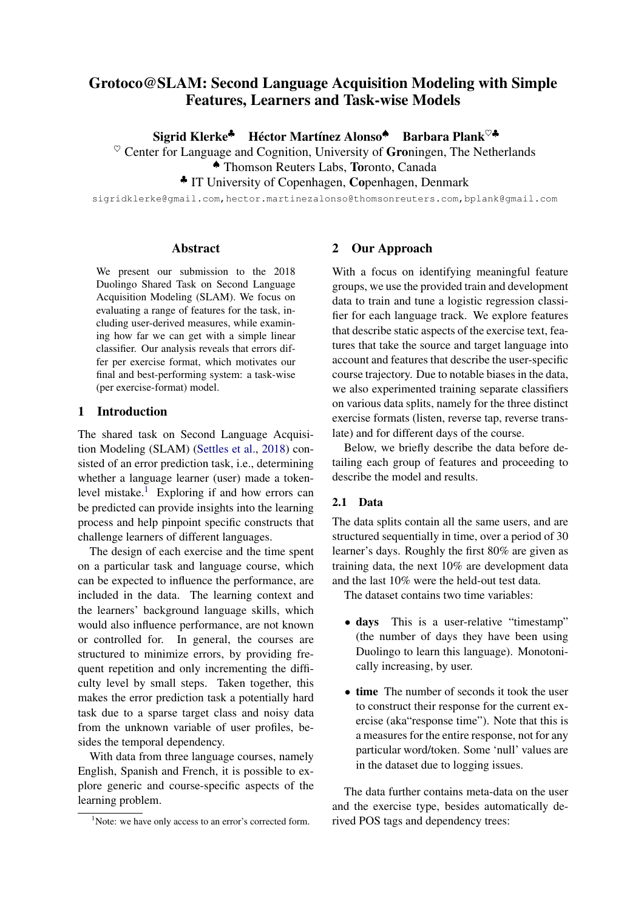# Grotoco@SLAM: Second Language Acquisition Modeling with Simple Features, Learners and Task-wise Models

Sigrid Klerke<sup>♣</sup> Héctor Martínez Alonso<sup>♠</sup> Barbara Plank<sup>♡♣</sup>

 $\heartsuit$  Center for Language and Cognition, University of Groningen, The Netherlands

♠ Thomson Reuters Labs, Toronto, Canada

♣ IT University of Copenhagen, Copenhagen, Denmark

sigridklerke@gmail.com,hector.martinezalonso@thomsonreuters.com,bplank@gmail.com

## Abstract

We present our submission to the 2018 Duolingo Shared Task on Second Language Acquisition Modeling (SLAM). We focus on evaluating a range of features for the task, including user-derived measures, while examining how far we can get with a simple linear classifier. Our analysis reveals that errors differ per exercise format, which motivates our final and best-performing system: a task-wise (per exercise-format) model.

#### 1 Introduction

The shared task on Second Language Acquisition Modeling (SLAM) [\(Settles et al.,](#page-5-0) [2018\)](#page-5-0) consisted of an error prediction task, i.e., determining whether a language learner (user) made a token-level mistake.<sup>[1](#page-0-0)</sup> Exploring if and how errors can be predicted can provide insights into the learning process and help pinpoint specific constructs that challenge learners of different languages.

The design of each exercise and the time spent on a particular task and language course, which can be expected to influence the performance, are included in the data. The learning context and the learners' background language skills, which would also influence performance, are not known or controlled for. In general, the courses are structured to minimize errors, by providing frequent repetition and only incrementing the difficulty level by small steps. Taken together, this makes the error prediction task a potentially hard task due to a sparse target class and noisy data from the unknown variable of user profiles, besides the temporal dependency.

With data from three language courses, namely English, Spanish and French, it is possible to explore generic and course-specific aspects of the learning problem.

# 2 Our Approach

With a focus on identifying meaningful feature groups, we use the provided train and development data to train and tune a logistic regression classifier for each language track. We explore features that describe static aspects of the exercise text, features that take the source and target language into account and features that describe the user-specific course trajectory. Due to notable biases in the data, we also experimented training separate classifiers on various data splits, namely for the three distinct exercise formats (listen, reverse tap, reverse translate) and for different days of the course.

Below, we briefly describe the data before detailing each group of features and proceeding to describe the model and results.

# 2.1 Data

The data splits contain all the same users, and are structured sequentially in time, over a period of 30 learner's days. Roughly the first 80% are given as training data, the next 10% are development data and the last 10% were the held-out test data.

The dataset contains two time variables:

- days This is a user-relative "timestamp" (the number of days they have been using Duolingo to learn this language). Monotonically increasing, by user.
- time The number of seconds it took the user to construct their response for the current exercise (aka"response time"). Note that this is a measures for the entire response, not for any particular word/token. Some 'null' values are in the dataset due to logging issues.

The data further contains meta-data on the user and the exercise type, besides automatically derived POS tags and dependency trees:

<span id="page-0-0"></span><sup>&</sup>lt;sup>1</sup>Note: we have only access to an error's corrected form.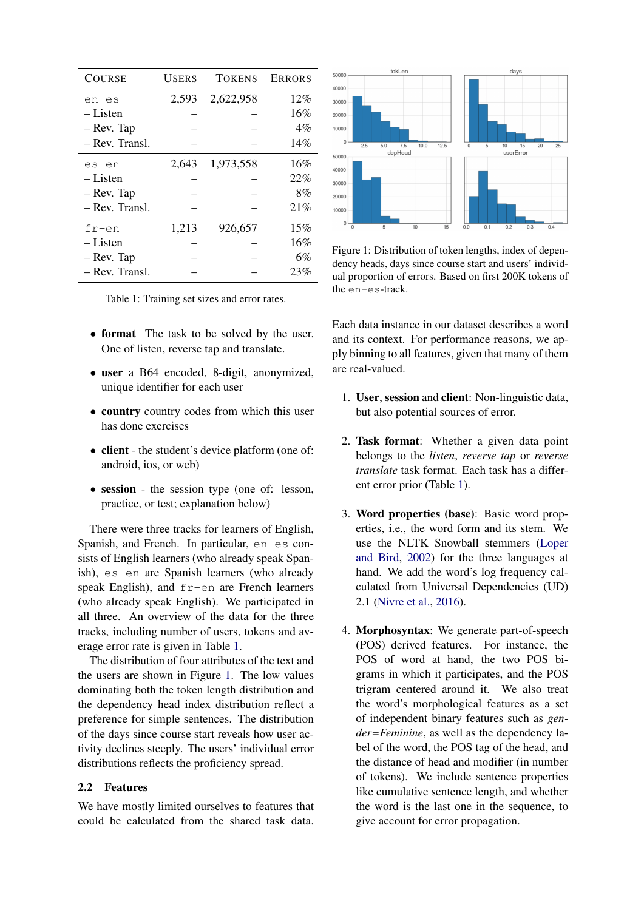| <b>COURSE</b>  | USERS | <b>TOKENS</b> | <b>ERRORS</b> |
|----------------|-------|---------------|---------------|
| en-es          | 2,593 | 2,622,958     | 12%           |
| – Listen       |       |               | 16%           |
| - Rev. Tap     |       |               | $4\%$         |
| – Rev. Transl. |       |               | 14%           |
| es-en          | 2.643 | 1,973,558     | 16%           |
| – Listen       |       |               | 22%           |
| - Rev. Tap     |       |               | 8%            |
| – Rev. Transl. |       |               | 21%           |
| $fr-en$        | 1,213 | 926,657       | 15%           |
| – Listen       |       |               | 16%           |
| - Rev. Tap     |       |               | 6%            |
| – Rev. Transl. |       |               | 23%           |

<span id="page-1-0"></span>Table 1: Training set sizes and error rates.

- **format** The task to be solved by the user. One of listen, reverse tap and translate.
- user a B64 encoded, 8-digit, anonymized, unique identifier for each user
- country country codes from which this user has done exercises
- client the student's device platform (one of: android, ios, or web)
- session the session type (one of: lesson, practice, or test; explanation below)

There were three tracks for learners of English, Spanish, and French. In particular, en-es consists of English learners (who already speak Spanish), es-en are Spanish learners (who already speak English), and fr-en are French learners (who already speak English). We participated in all three. An overview of the data for the three tracks, including number of users, tokens and average error rate is given in Table [1.](#page-1-0)

The distribution of four attributes of the text and the users are shown in Figure [1.](#page-1-1) The low values dominating both the token length distribution and the dependency head index distribution reflect a preference for simple sentences. The distribution of the days since course start reveals how user activity declines steeply. The users' individual error distributions reflects the proficiency spread.

#### 2.2 Features

We have mostly limited ourselves to features that could be calculated from the shared task data.



<span id="page-1-1"></span>Figure 1: Distribution of token lengths, index of dependency heads, days since course start and users' individual proportion of errors. Based on first 200K tokens of the en-es-track.

Each data instance in our dataset describes a word and its context. For performance reasons, we apply binning to all features, given that many of them are real-valued.

- 1. User, session and client: Non-linguistic data, but also potential sources of error.
- 2. Task format: Whether a given data point belongs to the *listen*, *reverse tap* or *reverse translate* task format. Each task has a different error prior (Table [1\)](#page-1-0).
- 3. Word properties (base): Basic word properties, i.e., the word form and its stem. We use the NLTK Snowball stemmers [\(Loper](#page-4-0) [and Bird,](#page-4-0) [2002\)](#page-4-0) for the three languages at hand. We add the word's log frequency calculated from Universal Dependencies (UD) 2.1 [\(Nivre et al.,](#page-5-1) [2016\)](#page-5-1).
- 4. Morphosyntax: We generate part-of-speech (POS) derived features. For instance, the POS of word at hand, the two POS bigrams in which it participates, and the POS trigram centered around it. We also treat the word's morphological features as a set of independent binary features such as *gender=Feminine*, as well as the dependency label of the word, the POS tag of the head, and the distance of head and modifier (in number of tokens). We include sentence properties like cumulative sentence length, and whether the word is the last one in the sequence, to give account for error propagation.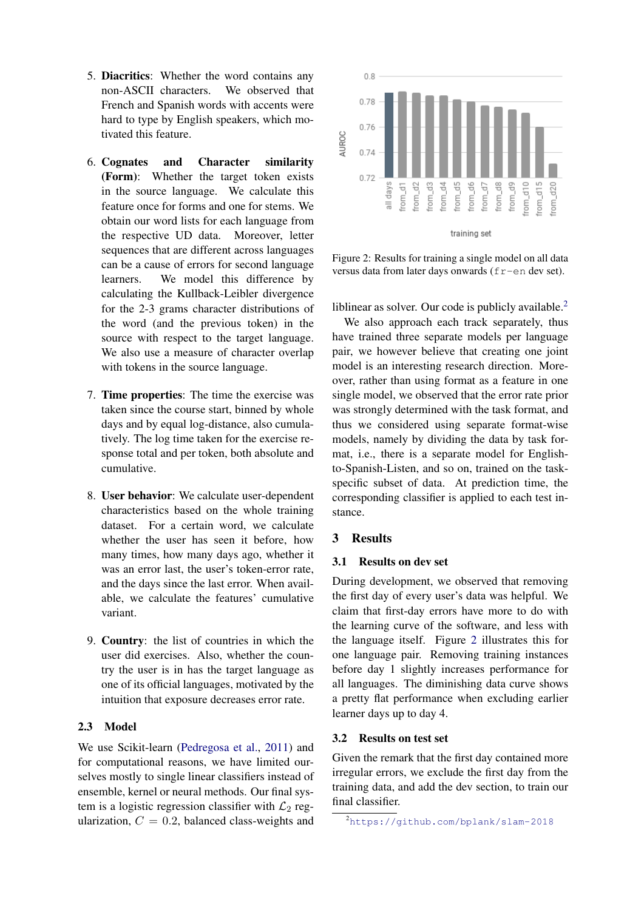- 5. Diacritics: Whether the word contains any non-ASCII characters. We observed that French and Spanish words with accents were hard to type by English speakers, which motivated this feature.
- 6. Cognates and Character similarity (Form): Whether the target token exists in the source language. We calculate this feature once for forms and one for stems. We obtain our word lists for each language from the respective UD data. Moreover, letter sequences that are different across languages can be a cause of errors for second language learners. We model this difference by calculating the Kullback-Leibler divergence for the 2-3 grams character distributions of the word (and the previous token) in the source with respect to the target language. We also use a measure of character overlap with tokens in the source language.
- 7. Time properties: The time the exercise was taken since the course start, binned by whole days and by equal log-distance, also cumulatively. The log time taken for the exercise response total and per token, both absolute and cumulative.
- 8. User behavior: We calculate user-dependent characteristics based on the whole training dataset. For a certain word, we calculate whether the user has seen it before, how many times, how many days ago, whether it was an error last, the user's token-error rate, and the days since the last error. When available, we calculate the features' cumulative variant.
- 9. Country: the list of countries in which the user did exercises. Also, whether the country the user is in has the target language as one of its official languages, motivated by the intuition that exposure decreases error rate.

# 2.3 Model

We use Scikit-learn [\(Pedregosa et al.,](#page-5-2) [2011\)](#page-5-2) and for computational reasons, we have limited ourselves mostly to single linear classifiers instead of ensemble, kernel or neural methods. Our final system is a logistic regression classifier with  $\mathcal{L}_2$  regularization,  $C = 0.2$ , balanced class-weights and



<span id="page-2-1"></span>Figure 2: Results for training a single model on all data versus data from later days onwards (fr-en dev set).

liblinear as solver. Our code is publicly available.<sup>[2](#page-2-0)</sup>

We also approach each track separately, thus have trained three separate models per language pair, we however believe that creating one joint model is an interesting research direction. Moreover, rather than using format as a feature in one single model, we observed that the error rate prior was strongly determined with the task format, and thus we considered using separate format-wise models, namely by dividing the data by task format, i.e., there is a separate model for Englishto-Spanish-Listen, and so on, trained on the taskspecific subset of data. At prediction time, the corresponding classifier is applied to each test instance.

#### 3 Results

# 3.1 Results on dev set

During development, we observed that removing the first day of every user's data was helpful. We claim that first-day errors have more to do with the learning curve of the software, and less with the language itself. Figure [2](#page-2-1) illustrates this for one language pair. Removing training instances before day 1 slightly increases performance for all languages. The diminishing data curve shows a pretty flat performance when excluding earlier learner days up to day 4.

# 3.2 Results on test set

Given the remark that the first day contained more irregular errors, we exclude the first day from the training data, and add the dev section, to train our final classifier.

<span id="page-2-0"></span><sup>2</sup><https://github.com/bplank/slam-2018>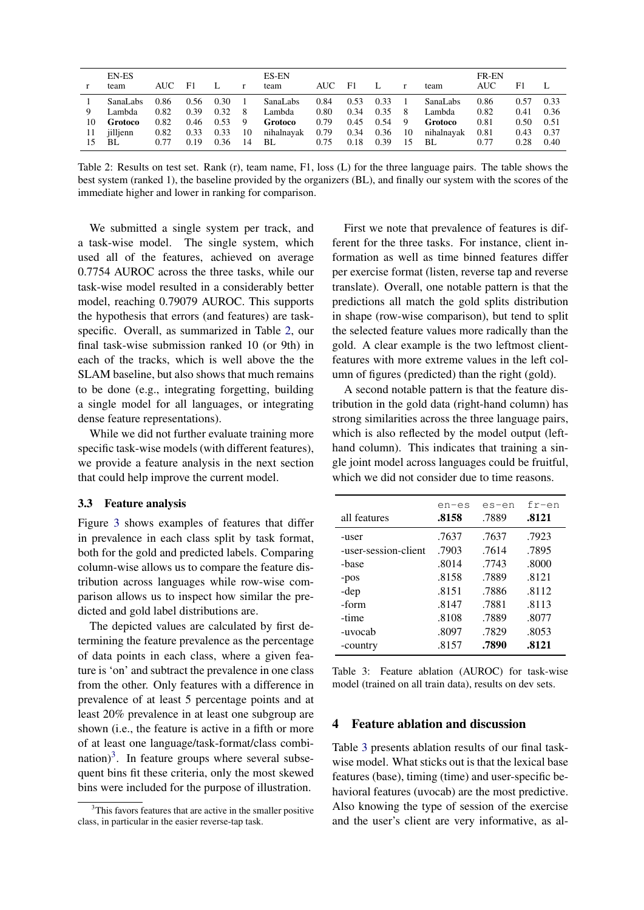| <b>EN-ES</b><br>team                                                   | AUC                                  | - F1                                 | L                                    | $\mathbf{r}$                               | ES-EN<br>team                                     | AUC F1                               |                                      | $\mathbf{L}$                         | r                                    | team                                              | FR-EN<br>AUC.                        | F1                                   |                                      |
|------------------------------------------------------------------------|--------------------------------------|--------------------------------------|--------------------------------------|--------------------------------------------|---------------------------------------------------|--------------------------------------|--------------------------------------|--------------------------------------|--------------------------------------|---------------------------------------------------|--------------------------------------|--------------------------------------|--------------------------------------|
| SanaLabs<br>Lambda<br>9<br>10<br>Grotoco<br>iillienn<br>11<br>BL<br>15 | 0.86<br>0.82<br>0.82<br>0.82<br>0.77 | 0.56<br>0.39<br>0.46<br>0.33<br>0.19 | 0.30<br>0.32<br>0.53<br>0.33<br>0.36 | $\overline{1}$<br>- 8<br>- 9<br>10<br>- 14 | SanaLabs<br>Lambda<br>Grotoco<br>nihalnayak<br>BL | 0.84<br>0.80<br>0.79<br>0.79<br>0.75 | 0.53<br>0.34<br>0.45<br>0.34<br>0.18 | 0.33<br>0.35<br>0.54<br>0.36<br>0.39 | $\mathbf{1}$<br>- 8<br>9<br>10<br>15 | SanaLabs<br>Lambda<br>Grotoco<br>nihalnavak<br>BL | 0.86<br>0.82<br>0.81<br>0.81<br>0.77 | 0.57<br>0.41<br>0.50<br>0.43<br>0.28 | 0.33<br>0.36<br>0.51<br>0.37<br>0.40 |

<span id="page-3-0"></span>Table 2: Results on test set. Rank (r), team name, F1, loss (L) for the three language pairs. The table shows the best system (ranked 1), the baseline provided by the organizers (BL), and finally our system with the scores of the immediate higher and lower in ranking for comparison.

We submitted a single system per track, and a task-wise model. The single system, which used all of the features, achieved on average 0.7754 AUROC across the three tasks, while our task-wise model resulted in a considerably better model, reaching 0.79079 AUROC. This supports the hypothesis that errors (and features) are taskspecific. Overall, as summarized in Table [2,](#page-3-0) our final task-wise submission ranked 10 (or 9th) in each of the tracks, which is well above the the SLAM baseline, but also shows that much remains to be done (e.g., integrating forgetting, building a single model for all languages, or integrating dense feature representations).

While we did not further evaluate training more specific task-wise models (with different features), we provide a feature analysis in the next section that could help improve the current model.

#### 3.3 Feature analysis

Figure [3](#page-4-1) shows examples of features that differ in prevalence in each class split by task format, both for the gold and predicted labels. Comparing column-wise allows us to compare the feature distribution across languages while row-wise comparison allows us to inspect how similar the predicted and gold label distributions are.

The depicted values are calculated by first determining the feature prevalence as the percentage of data points in each class, where a given feature is 'on' and subtract the prevalence in one class from the other. Only features with a difference in prevalence of at least 5 percentage points and at least 20% prevalence in at least one subgroup are shown (i.e., the feature is active in a fifth or more of at least one language/task-format/class combi- $\text{ratio}$ <sup>[3](#page-3-1)</sup>. In feature groups where several subsequent bins fit these criteria, only the most skewed bins were included for the purpose of illustration.

First we note that prevalence of features is different for the three tasks. For instance, client information as well as time binned features differ per exercise format (listen, reverse tap and reverse translate). Overall, one notable pattern is that the predictions all match the gold splits distribution in shape (row-wise comparison), but tend to split the selected feature values more radically than the gold. A clear example is the two leftmost clientfeatures with more extreme values in the left column of figures (predicted) than the right (gold).

A second notable pattern is that the feature distribution in the gold data (right-hand column) has strong similarities across the three language pairs, which is also reflected by the model output (lefthand column). This indicates that training a single joint model across languages could be fruitful, which we did not consider due to time reasons.

| all features         | en-es<br>.8158 | es-en<br>.7889 | $fr-en$<br>.8121 |
|----------------------|----------------|----------------|------------------|
| -user                | .7637          | .7637          | .7923            |
| -user-session-client | .7903          | .7614          | .7895            |
| -base                | .8014          | .7743          | .8000            |
| $-pos$               | .8158          | .7889          | .8121            |
| -dep                 | .8151          | .7886          | .8112            |
| -form                | .8147          | .7881          | .8113            |
| -time                | .8108          | .7889          | .8077            |
| -uvocab              | .8097          | .7829          | .8053            |
| -country             | .8157          | .7890          | .8121            |

<span id="page-3-2"></span>Table 3: Feature ablation (AUROC) for task-wise model (trained on all train data), results on dev sets.

## 4 Feature ablation and discussion

Table [3](#page-3-2) presents ablation results of our final taskwise model. What sticks out is that the lexical base features (base), timing (time) and user-specific behavioral features (uvocab) are the most predictive. Also knowing the type of session of the exercise and the user's client are very informative, as al-

<span id="page-3-1"></span> $3$ This favors features that are active in the smaller positive class, in particular in the easier reverse-tap task.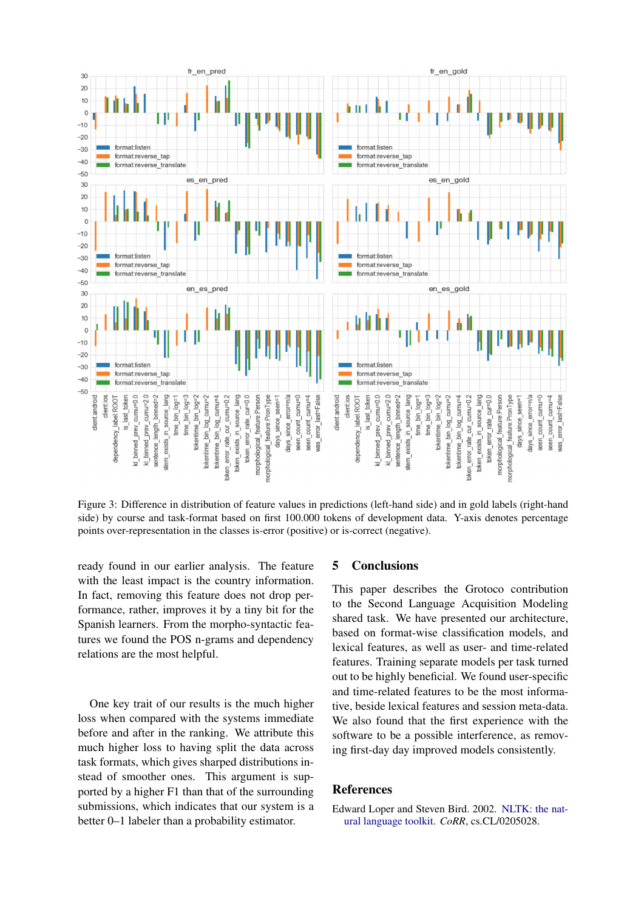

<span id="page-4-1"></span>Figure 3: Difference in distribution of feature values in predictions (left-hand side) and in gold labels (right-hand side) by course and task-format based on first 100.000 tokens of development data. Y-axis denotes percentage points over-representation in the classes is-error (positive) or is-correct (negative).

ready found in our earlier analysis. The feature with the least impact is the country information. In fact, removing this feature does not drop performance, rather, improves it by a tiny bit for the Spanish learners. From the morpho-syntactic features we found the POS n-grams and dependency relations are the most helpful.

One key trait of our results is the much higher loss when compared with the systems immediate before and after in the ranking. We attribute this much higher loss to having split the data across task formats, which gives sharped distributions instead of smoother ones. This argument is supported by a higher F1 than that of the surrounding submissions, which indicates that our system is a better 0–1 labeler than a probability estimator.

#### 5 Conclusions

This paper describes the Grotoco contribution to the Second Language Acquisition Modeling shared task. We have presented our architecture, based on format-wise classification models, and lexical features, as well as user- and time-related features. Training separate models per task turned out to be highly beneficial. We found user-specific and time-related features to be the most informative, beside lexical features and session meta-data. We also found that the first experience with the software to be a possible interference, as removing first-day day improved models consistently.

#### References

<span id="page-4-0"></span>Edward Loper and Steven Bird. 2002. [NLTK: the nat](http://arxiv.org/abs/cs.CL/0205028)[ural language toolkit.](http://arxiv.org/abs/cs.CL/0205028) *CoRR*, cs.CL/0205028.